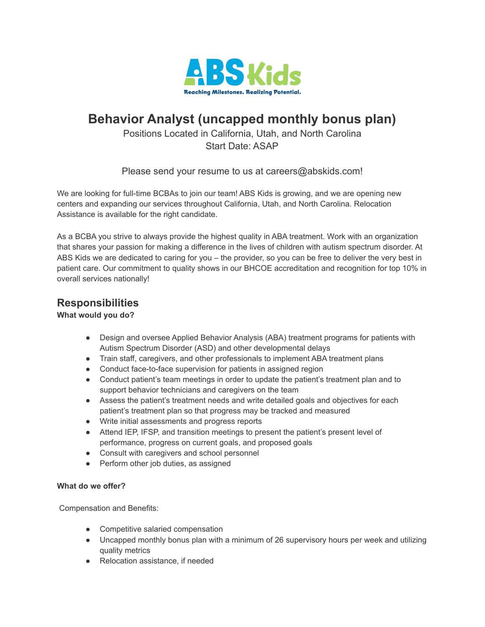

# **Behavior Analyst (uncapped monthly bonus plan)**

Positions Located in California, Utah, and North Carolina Start Date: ASAP

Please send your resume to us at careers@abskids.com!

We are looking for full-time BCBAs to join our team! ABS Kids is growing, and we are opening new centers and expanding our services throughout California, Utah, and North Carolina. Relocation Assistance is available for the right candidate.

As a BCBA you strive to always provide the highest quality in ABA treatment. Work with an organization that shares your passion for making a difference in the lives of children with autism spectrum disorder. At ABS Kids we are dedicated to caring for you – the provider, so you can be free to deliver the very best in patient care. Our commitment to quality shows in our BHCOE accreditation and recognition for top 10% in overall services nationally!

## **Responsibilities**

### **What would you do?**

- Design and oversee Applied Behavior Analysis (ABA) treatment programs for patients with Autism Spectrum Disorder (ASD) and other developmental delays
- Train staff, caregivers, and other professionals to implement ABA treatment plans
- Conduct face-to-face supervision for patients in assigned region
- Conduct patient's team meetings in order to update the patient's treatment plan and to support behavior technicians and caregivers on the team
- Assess the patient's treatment needs and write detailed goals and objectives for each patient's treatment plan so that progress may be tracked and measured
- Write initial assessments and progress reports
- Attend IEP, IFSP, and transition meetings to present the patient's present level of performance, progress on current goals, and proposed goals
- Consult with caregivers and school personnel
- Perform other job duties, as assigned

#### **What do we offer?**

Compensation and Benefits:

- Competitive salaried compensation
- Uncapped monthly bonus plan with a minimum of 26 supervisory hours per week and utilizing quality metrics
- Relocation assistance, if needed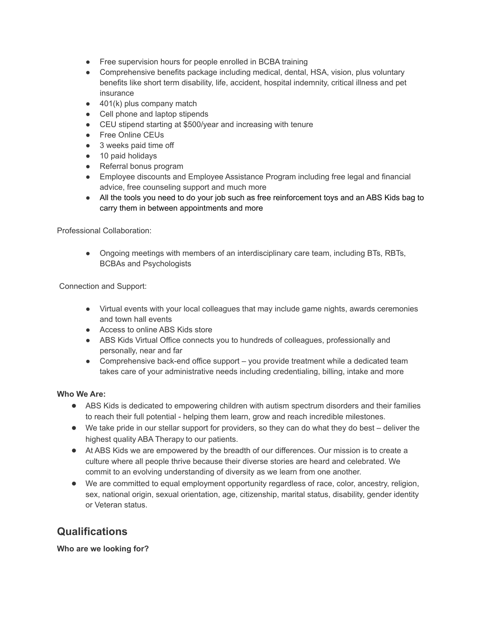- Free supervision hours for people enrolled in BCBA training
- Comprehensive benefits package including medical, dental, HSA, vision, plus voluntary benefits like short term disability, life, accident, hospital indemnity, critical illness and pet insurance
- $\bullet$  401(k) plus company match
- Cell phone and laptop stipends
- CEU stipend starting at \$500/year and increasing with tenure
- Free Online CEUs
- 3 weeks paid time off
- 10 paid holidays
- Referral bonus program
- Employee discounts and Employee Assistance Program including free legal and financial advice, free counseling support and much more
- All the tools you need to do your job such as free reinforcement toys and an ABS Kids bag to carry them in between appointments and more

Professional Collaboration:

● Ongoing meetings with members of an interdisciplinary care team, including BTs, RBTs, BCBAs and Psychologists

Connection and Support:

- Virtual events with your local colleagues that may include game nights, awards ceremonies and town hall events
- Access to online ABS Kids store
- ABS Kids Virtual Office connects you to hundreds of colleagues, professionally and personally, near and far
- Comprehensive back-end office support you provide treatment while a dedicated team takes care of your administrative needs including credentialing, billing, intake and more

#### **Who We Are:**

- ABS Kids is dedicated to empowering children with autism spectrum disorders and their families to reach their full potential - helping them learn, grow and reach incredible milestones.
- We take pride in our stellar support for providers, so they can do what they do best deliver the highest quality ABA Therapy to our patients.
- At ABS Kids we are empowered by the breadth of our differences. Our mission is to create a culture where all people thrive because their diverse stories are heard and celebrated. We commit to an evolving understanding of diversity as we learn from one another.
- We are committed to equal employment opportunity regardless of race, color, ancestry, religion, sex, national origin, sexual orientation, age, citizenship, marital status, disability, gender identity or Veteran status.

## **Qualifications**

**Who are we looking for?**